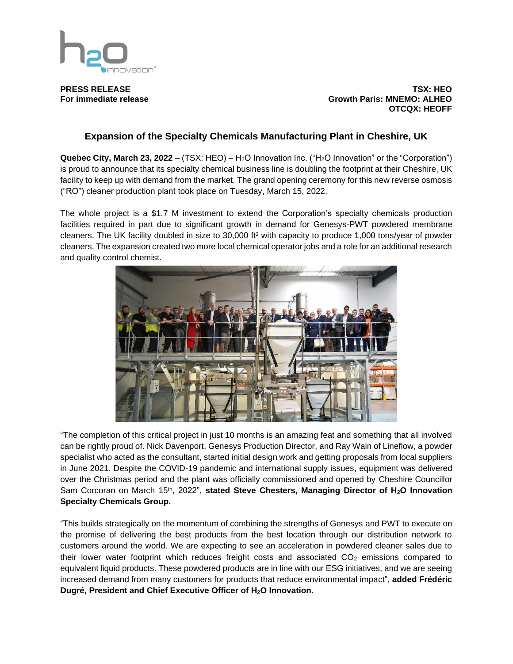

**PRESS RELEASE TSX: HEO For immediate release Growth Paris: MNEMO: ALHEO OTCQX: HEOFF**

## **Expansion of the Specialty Chemicals Manufacturing Plant in Cheshire, UK**

**Quebec City, March 23, 2022** – (TSX: HEO) – H<sub>2</sub>O Innovation Inc. ("H<sub>2</sub>O Innovation" or the "Corporation") is proud to announce that its specialty chemical business line is doubling the footprint at their Cheshire, UK facility to keep up with demand from the market. The grand opening ceremony for this new reverse osmosis ("RO") cleaner production plant took place on Tuesday, March 15, 2022.

The whole project is a \$1.7 M investment to extend the Corporation's specialty chemicals production facilities required in part due to significant growth in demand for Genesys-PWT powdered membrane cleaners. The UK facility doubled in size to 30,000 ft² with capacity to produce 1,000 tons/year of powder cleaners. The expansion created two more local chemical operator jobs and a role for an additional research and quality control chemist.



"The completion of this critical project in just 10 months is an amazing feat and something that all involved can be rightly proud of. Nick Davenport, Genesys Production Director, and Ray Wain of Lineflow, a powder specialist who acted as the consultant, started initial design work and getting proposals from local suppliers in June 2021. Despite the COVID-19 pandemic and international supply issues, equipment was delivered over the Christmas period and the plant was officially commissioned and opened by Cheshire Councillor Sam Corcoran on March 15<sup>th</sup>, 2022", stated Steve Chesters, Managing Director of H<sub>2</sub>O Innovation **Specialty Chemicals Group.**

"This builds strategically on the momentum of combining the strengths of Genesys and PWT to execute on the promise of delivering the best products from the best location through our distribution network to customers around the world. We are expecting to see an acceleration in powdered cleaner sales due to their lower water footprint which reduces freight costs and associated  $CO<sub>2</sub>$  emissions compared to equivalent liquid products. These powdered products are in line with our ESG initiatives, and we are seeing increased demand from many customers for products that reduce environmental impact", **added Frédéric Dugré, President and Chief Executive Officer of H2O Innovation.**